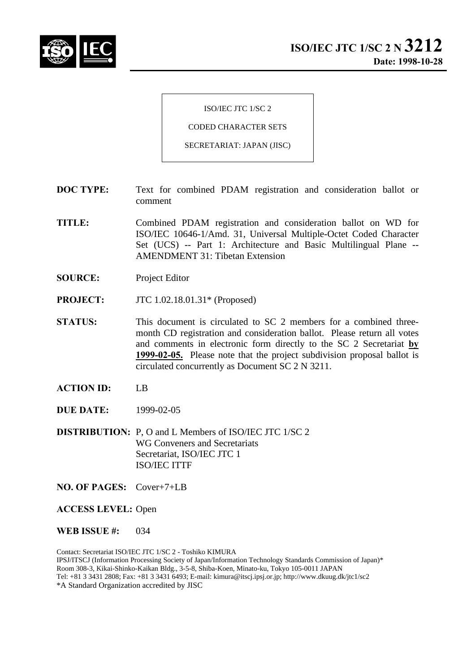

ISO/IEC JTC 1/SC 2

CODED CHARACTER SETS

SECRETARIAT: JAPAN (JISC)

- **DOC TYPE:** Text for combined PDAM registration and consideration ballot or comment
- **TITLE:** Combined PDAM registration and consideration ballot on WD for ISO/IEC 10646-1/Amd. 31, Universal Multiple-Octet Coded Character Set (UCS) -- Part 1: Architecture and Basic Multilingual Plane -- AMENDMENT 31: Tibetan Extension
- **SOURCE:** Project Editor
- **PROJECT:** JTC 1.02.18.01.31\* (Proposed)
- **STATUS:** This document is circulated to SC 2 members for a combined threemonth CD registration and consideration ballot. Please return all votes and comments in electronic form directly to the SC 2 Secretariat **by 1999-02-05.** Please note that the project subdivision proposal ballot is circulated concurrently as Document SC 2 N 3211.
- **ACTION ID:** LB
- **DUE DATE:** 1999-02-05
- **DISTRIBUTION:** P, O and L Members of ISO/IEC JTC 1/SC 2 WG Conveners and Secretariats Secretariat, ISO/IEC JTC 1 ISO/IEC ITTF
- **NO. OF PAGES:** Cover+7+LB

**ACCESS LEVEL:** Open

**WEB ISSUE #:** 034

Contact: Secretariat ISO/IEC JTC 1/SC 2 - Toshiko KIMURA IPSJ/ITSCJ (Information Processing Society of Japan/Information Technology Standards Commission of Japan)\* Room 308-3, Kikai-Shinko-Kaikan Bldg., 3-5-8, Shiba-Koen, Minato-ku, Tokyo 105-0011 JAPAN Tel: +81 3 3431 2808; Fax: +81 3 3431 6493; E-mail: kimura@itscj.ipsj.or.jp; http://www.dkuug.dk/jtc1/sc2 \*A Standard Organization accredited by JISC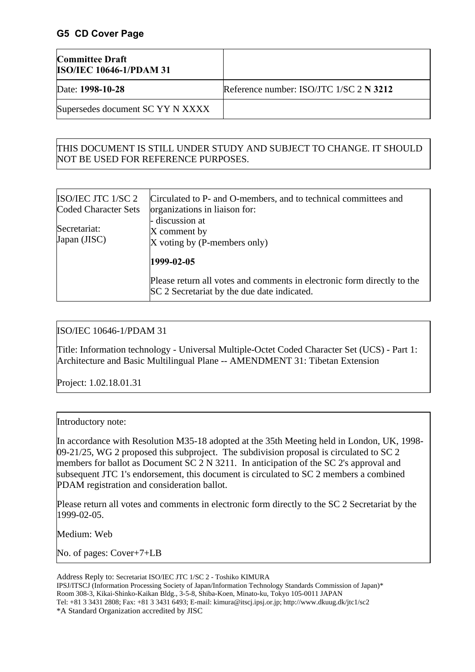### **G5 CD Cover Page**

| <b>Committee Draft</b><br><b>ISO/IEC 10646-1/PDAM 31</b> |                                           |
|----------------------------------------------------------|-------------------------------------------|
| Date: 1998-10-28                                         | Reference number: ISO/JTC $1/SC$ 2 N 3212 |
| Supersedes document SC YY N XXXX                         |                                           |

## THIS DOCUMENT IS STILL UNDER STUDY AND SUBJECT TO CHANGE. IT SHOULD NOT BE USED FOR REFERENCE PURPOSES.

| ISO/IEC JTC 1/SC 2<br>Coded Character Sets | Circulated to P- and O-members, and to technical committees and<br>organizations in liaison for:                       |  |  |  |  |  |
|--------------------------------------------|------------------------------------------------------------------------------------------------------------------------|--|--|--|--|--|
| Secretariat:<br>Japan (JISC)               | - discussion at<br>X comment by<br>X voting by (P-members only)                                                        |  |  |  |  |  |
|                                            | 1999-02-05                                                                                                             |  |  |  |  |  |
|                                            | Please return all votes and comments in electronic form directly to the<br>SC 2 Secretariat by the due date indicated. |  |  |  |  |  |

### ISO/IEC 10646-1/PDAM 31

Title: Information technology - Universal Multiple-Octet Coded Character Set (UCS) - Part 1: Architecture and Basic Multilingual Plane -- AMENDMENT 31: Tibetan Extension

Project: 1.02.18.01.31

#### Introductory note:

In accordance with Resolution M35-18 adopted at the 35th Meeting held in London, UK, 1998- 09-21/25, WG 2 proposed this subproject. The subdivision proposal is circulated to SC 2 members for ballot as Document SC 2 N 3211. In anticipation of the SC 2's approval and subsequent JTC 1's endorsement, this document is circulated to SC 2 members a combined PDAM registration and consideration ballot.

Please return all votes and comments in electronic form directly to the SC 2 Secretariat by the 1999-02-05.

Medium: Web

No. of pages: Cover+7+LB

Address Reply to: Secretariat ISO/IEC JTC 1/SC 2 - Toshiko KIMURA

IPSJ/ITSCJ (Information Processing Society of Japan/Information Technology Standards Commission of Japan)\* Room 308-3, Kikai-Shinko-Kaikan Bldg., 3-5-8, Shiba-Koen, Minato-ku, Tokyo 105-0011 JAPAN Tel: +81 3 3431 2808; Fax: +81 3 3431 6493; E-mail: kimura@itscj.ipsj.or.jp; http://www.dkuug.dk/jtc1/sc2 \*A Standard Organization accredited by JISC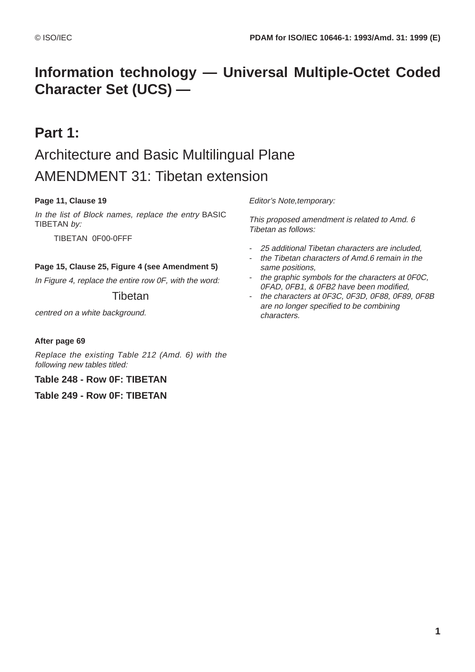# **Information technology — Universal Multiple-Octet Coded Character Set (UCS) —**

# **Part 1:**

# Architecture and Basic Multilingual Plane AMENDMENT 31: Tibetan extension

### **Page 11, Clause 19**

In the list of Block names, replace the entry BASIC TIBETAN by:

TIBETAN 0F00-0FFF

#### **Page 15, Clause 25, Figure 4 (see Amendment 5)**

In Figure 4, replace the entire row 0F, with the word:

### **Tibetan**

centred on a white background.

#### **After page 69**

Replace the existing Table 212 (Amd. 6) with the following new tables titled:

#### **Table 248 - Row 0F: TIBETAN**

**Table 249 - Row 0F: TIBETAN**

Editor's Note,temporary:

This proposed amendment is related to Amd. 6 Tibetan as follows:

- 25 additional Tibetan characters are included,
- the Tibetan characters of Amd.6 remain in the same positions,
- the graphic symbols for the characters at 0F0C, 0FAD, 0FB1, & 0FB2 have been modified,
- the characters at 0F3C, 0F3D, 0F88, 0F89, 0F8B are no longer specified to be combining characters.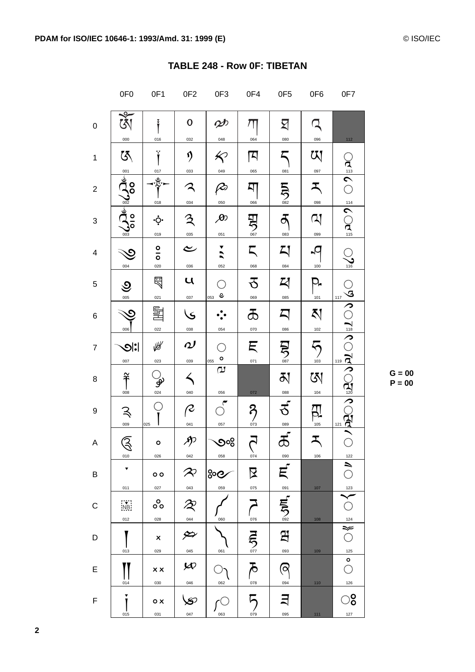|                         | 0F <sub>0</sub>                  | OF <sub>1</sub>                                  | 0F <sub>2</sub>                                                                                                                         | 0F3                           | 0F4                             | 0F <sub>5</sub>                       | 0F6                 | 0F7                                              |
|-------------------------|----------------------------------|--------------------------------------------------|-----------------------------------------------------------------------------------------------------------------------------------------|-------------------------------|---------------------------------|---------------------------------------|---------------------|--------------------------------------------------|
| 0                       | $\overline{\mathfrak{R}}$<br>000 | Ť<br>016                                         | $\mathbf 0$<br>032                                                                                                                      | Ø<br>048                      | $\pi$<br>064                    | ⊠<br>080                              | 096                 | 112                                              |
| $\mathbf{1}$            | $\bar{\mathfrak{G}}$             | Ÿ<br>017                                         | ŋ<br>033                                                                                                                                | $\bigotimes$<br>049           | 囚<br>065                        | 081                                   | W<br>097            |                                                  |
| $\overline{\mathbf{c}}$ | $\frac{1}{3}$<br>$\frac{1}{3}$   | ళ్ల<br>018                                       | 034                                                                                                                                     | $\varphi$<br>050              | д<br>066                        | $\sum_{\underline{\text{082}}}$       | ス<br>098            | $\frac{1}{2}$                                    |
| 3                       | <b>SOUGE</b>                     | ۰ọ.<br>019                                       | $\mathfrak{Z}% _{A}^{\ast }=\mathfrak{Z}_{A}\!\left( A\right) ,\ \mathfrak{Z}_{A}^{\ast }=% \mathfrak{Z}_{A}\!\left( A\right) ,$<br>035 | $\cancel{\infty}$<br>051      | 男學                              | ð<br>083                              | $\mathsf{Q}$<br>099 | $\sum_{115}^{114}$                               |
| 4                       | $\gtrsim$<br>004                 | $\frac{0}{0}$<br>020                             | ے<br>036                                                                                                                                | $\overline{ }$<br>052         | ζ<br>068                        | 지<br>084                              | 100                 | $\gtrsim$<br>116                                 |
| 5                       | ৩<br>005                         | 曷<br>021                                         | $\mathbf{u}$<br>037                                                                                                                     | Ċ<br>e<br>053                 | る<br>069                        | 以<br>085                              | P-<br>101           | $\frac{1}{2}$<br>117                             |
| 6                       | <u>c</u><br>006                  | 量<br>022                                         | $\check{\mathsf{s}}$<br>038                                                                                                             | 054                           | ౘ<br>070                        | $\boldsymbol{\mathsf{\Sigma}}$<br>086 | K)<br>102           |                                                  |
| 7                       | <b> : ೦</b><br>007               | 幽<br>023                                         | $\boldsymbol{\mathcal{Q}}$<br>039                                                                                                       | ୁ<br>$\circ$<br>055           | Ę<br>071                        | 号<br>警                                | $\sum_{103}$        |                                                  |
| 8                       | နိ<br>008                        | $\frac{1}{\frac{1}{\frac{1}{\frac{1}{\cdots}}}}$ | 040                                                                                                                                     | $\sigma$<br>056               | 072                             | 징<br>088                              | জ<br>104            | ा है <mark>१</mark> ०० दिव पार्ट है।<br>पार्ट के |
| 9                       | ヌ<br>009                         | ◯<br>025                                         | $\mathcal{Q}$<br>041                                                                                                                    | 057                           | ຊ<br>$\frac{7}{073}$            | ざ<br>089                              | 105                 | 121                                              |
| A                       | $\widehat{\mathbb{S}}$<br>010    | $\circ$<br>026                                   | Я)<br>042                                                                                                                               | ૭%<br>058                     | $\sum_{074}$                    | ක්<br>090                             | ス<br>106            | 122                                              |
| В                       | ▼<br>011                         | $\circ$<br>027                                   | $\boldsymbol{\mathcal{R}}$<br>043                                                                                                       | <u> <sup>၁၀</sup>၉</u><br>059 | 又<br>075                        | Ę                                     | $107$               | $\bigcirc$<br>123                                |
| C                       | .<br>NB<br>012                   | ၀ိ၀<br>028                                       | ぞ                                                                                                                                       | 060                           | 076                             | 091<br>$\sum_{002}$                   |                     |                                                  |
| D                       |                                  | $\pmb{\times}$                                   | 044<br>ئبر                                                                                                                              |                               | $\sum_{\underline{\text{077}}}$ | 와                                     | 108                 | $\frac{1}{\sqrt[124]{\frac{1}{\sqrt{3}}}}$       |
| E                       | 013<br>014                       | 029<br>$\times x$                                | 045<br>$\bm{\varphi}$                                                                                                                   | 061<br>062                    | $\bar{\delta}$<br>078           | 093<br>$\sigma$<br>094                | 109                 | 125<br>$\circ$<br>$\bigcirc$                     |
| F                       | ▼<br>015                         | 030<br>$\circ$ x<br>031                          | 046<br>S.<br>047                                                                                                                        | 063                           | 079                             | 095                                   | 110<br>111          | 126<br>$\circ$<br>$127\,$                        |

 $G = 00$  $P = 00$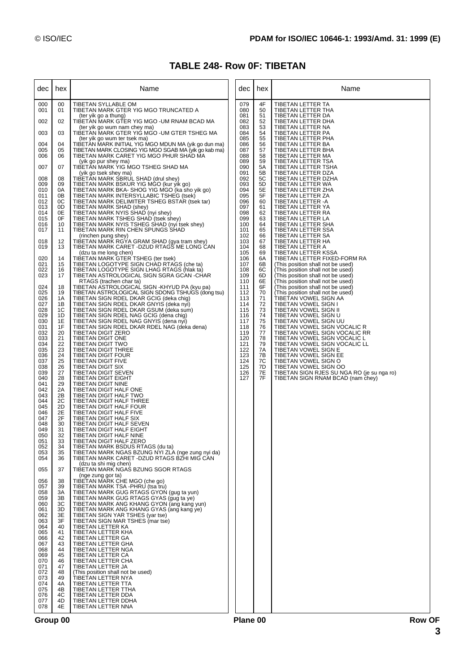# **TABLE 248- Row 0F: TIBETAN**

| dec                                                                                                                                                                                                                                                                                                                                                                                    | hex                                                                                                                                                                                                                                                                                                                              | Name                                                                                                                                                                                                                                                                                                                                                                                                                                                                                                                                                                                                                                                                                                                                                                                                                                                                                                                                                                                                                                                                                                                                                                                                                                                                                                                                                                                                                                                                                                                                                                                                                                                                                                                                                                                                          | dec                                                                                                                        | hex                                                                                                      | Name                                                                                                                                                                                                                                                                                                                                                                                                                                                                                                                                                          |
|----------------------------------------------------------------------------------------------------------------------------------------------------------------------------------------------------------------------------------------------------------------------------------------------------------------------------------------------------------------------------------------|----------------------------------------------------------------------------------------------------------------------------------------------------------------------------------------------------------------------------------------------------------------------------------------------------------------------------------|---------------------------------------------------------------------------------------------------------------------------------------------------------------------------------------------------------------------------------------------------------------------------------------------------------------------------------------------------------------------------------------------------------------------------------------------------------------------------------------------------------------------------------------------------------------------------------------------------------------------------------------------------------------------------------------------------------------------------------------------------------------------------------------------------------------------------------------------------------------------------------------------------------------------------------------------------------------------------------------------------------------------------------------------------------------------------------------------------------------------------------------------------------------------------------------------------------------------------------------------------------------------------------------------------------------------------------------------------------------------------------------------------------------------------------------------------------------------------------------------------------------------------------------------------------------------------------------------------------------------------------------------------------------------------------------------------------------------------------------------------------------------------------------------------------------|----------------------------------------------------------------------------------------------------------------------------|----------------------------------------------------------------------------------------------------------|---------------------------------------------------------------------------------------------------------------------------------------------------------------------------------------------------------------------------------------------------------------------------------------------------------------------------------------------------------------------------------------------------------------------------------------------------------------------------------------------------------------------------------------------------------------|
| 000<br>001                                                                                                                                                                                                                                                                                                                                                                             | 00<br>01                                                                                                                                                                                                                                                                                                                         | TIBETAN SYLLABLE OM<br>TIBETAN MARK GTER YIG MGO TRUNCATED A<br>(ter yik go a thung)                                                                                                                                                                                                                                                                                                                                                                                                                                                                                                                                                                                                                                                                                                                                                                                                                                                                                                                                                                                                                                                                                                                                                                                                                                                                                                                                                                                                                                                                                                                                                                                                                                                                                                                          | 079<br>080<br>081                                                                                                          | 4F<br>50<br>51                                                                                           | <b>TIBETAN LETTER TA</b><br>TIBETAN LETTER THA<br>TIBETAN LETTER DA                                                                                                                                                                                                                                                                                                                                                                                                                                                                                           |
| 002                                                                                                                                                                                                                                                                                                                                                                                    | 02                                                                                                                                                                                                                                                                                                                               | TIBETAN MARK GTER YIG MGO -UM RNAM BCAD MA<br>(ter yik go wum nam chey ma)                                                                                                                                                                                                                                                                                                                                                                                                                                                                                                                                                                                                                                                                                                                                                                                                                                                                                                                                                                                                                                                                                                                                                                                                                                                                                                                                                                                                                                                                                                                                                                                                                                                                                                                                    | 082<br>083                                                                                                                 | 52<br>53                                                                                                 | TIBETAN LETTER DHA<br>TIBETAN LETTER NA                                                                                                                                                                                                                                                                                                                                                                                                                                                                                                                       |
| 003<br>004                                                                                                                                                                                                                                                                                                                                                                             | 03<br>04                                                                                                                                                                                                                                                                                                                         | TIBETAN MARK GTER YIG MGO - UM GTER TSHEG MA<br>(ter yik go wum ter tsek ma)<br>TIBETAN MARK INITIAL YIG MGO MDUN MA (yik go dun ma)                                                                                                                                                                                                                                                                                                                                                                                                                                                                                                                                                                                                                                                                                                                                                                                                                                                                                                                                                                                                                                                                                                                                                                                                                                                                                                                                                                                                                                                                                                                                                                                                                                                                          | 084<br>085<br>086                                                                                                          | 54<br>55<br>56                                                                                           | TIBETAN LETTER PA<br>TIBETAN LETTER PHA<br>TIBETAN LETTER BA                                                                                                                                                                                                                                                                                                                                                                                                                                                                                                  |
| 005<br>006                                                                                                                                                                                                                                                                                                                                                                             | 05<br>06                                                                                                                                                                                                                                                                                                                         | TIBETAN MARK CLOSING YIG MGO SGAB MA (yik go kab ma)<br>TIBETAN MARK CARET YIG MGO PHUR SHAD MA                                                                                                                                                                                                                                                                                                                                                                                                                                                                                                                                                                                                                                                                                                                                                                                                                                                                                                                                                                                                                                                                                                                                                                                                                                                                                                                                                                                                                                                                                                                                                                                                                                                                                                               | 087<br>088                                                                                                                 | 57<br>58                                                                                                 | TIBETAN LETTER BHA<br>TIBETAN LETTER MA                                                                                                                                                                                                                                                                                                                                                                                                                                                                                                                       |
| 007                                                                                                                                                                                                                                                                                                                                                                                    | 07                                                                                                                                                                                                                                                                                                                               | (yik go pur shey ma)<br>TIBETAN MARK YIG MGO TSHEG SHAD MA                                                                                                                                                                                                                                                                                                                                                                                                                                                                                                                                                                                                                                                                                                                                                                                                                                                                                                                                                                                                                                                                                                                                                                                                                                                                                                                                                                                                                                                                                                                                                                                                                                                                                                                                                    | 089<br>090                                                                                                                 | 59<br>5A                                                                                                 | TIBETAN LETTER TSA<br>TIBETAN LETTER TSHA                                                                                                                                                                                                                                                                                                                                                                                                                                                                                                                     |
| 008<br>009<br>010<br>011<br>012<br>013<br>014<br>015<br>016<br>017                                                                                                                                                                                                                                                                                                                     | 08<br>09<br>0A<br>0Β<br>0C<br>0D<br>0E<br>0F<br>10<br>11                                                                                                                                                                                                                                                                         | (yik go tsek shey ma)<br>TIBETAN MARK SBRUL SHAD (drul shey)<br>TIBETAN MARK BSKUR YIG MGO (kur yik go)<br>TIBETAN MARK BKA-SHOG YIG MGO (ka sho yik go)<br>TIBETAN MARK INTERSYLLABIC TSHEG (tsek)<br>TIBETAN MARK DELIMITER TSHEG BSTAR (tsek tar)<br>TIBETAN MARK SHAD (shey)<br>TIBETAN MARK NYIS SHAD (nyi shey)<br>TIBETAN MARK TSHEG SHAD (tsek shey)<br>TIBETAN MARK NYIS TSHEG SHAD (nyi tsek shey)<br>TIBETAN MARK RIN CHEN SPUNGS SHAD<br>(rinchen pung shey)                                                                                                                                                                                                                                                                                                                                                                                                                                                                                                                                                                                                                                                                                                                                                                                                                                                                                                                                                                                                                                                                                                                                                                                                                                                                                                                                      | 091<br>092<br>093<br>094<br>095<br>096<br>097<br>098<br>099<br>100<br>101<br>102                                           | 5B<br>5C<br>5D<br>5E<br>5F<br>60<br>61<br>62<br>63<br>64<br>65<br>66                                     | TIBETAN LETTER DZA<br>TIBETAN LETTER DZHA<br>TIBETAN LETTER WA<br>TIBETAN LETTER ZHA<br>TIBETAN LETTER ZA<br>TIBETAN LETTER -A<br>TIBETAN LETTER YA<br>TIBETAN LETTER RA<br>TIBETAN LETTER LA<br>TIBETAN LETTER SHA<br>TIBETAN LETTER SSA<br>TIBETAN LETTER SA                                                                                                                                                                                                                                                                                                |
| 018<br>019                                                                                                                                                                                                                                                                                                                                                                             | 12<br>13                                                                                                                                                                                                                                                                                                                         | TIBETAN MARK RGYA GRAM SHAD (gya tram shey)<br>TIBETAN MARK CARET -DZUD RTAGS ME LONG CAN                                                                                                                                                                                                                                                                                                                                                                                                                                                                                                                                                                                                                                                                                                                                                                                                                                                                                                                                                                                                                                                                                                                                                                                                                                                                                                                                                                                                                                                                                                                                                                                                                                                                                                                     | 103<br>104                                                                                                                 | 67<br>68                                                                                                 | TIBETAN LETTER HA<br>TIBETAN LETTER A                                                                                                                                                                                                                                                                                                                                                                                                                                                                                                                         |
| 020<br>021<br>022<br>023                                                                                                                                                                                                                                                                                                                                                               | 14<br>15<br>16<br>17                                                                                                                                                                                                                                                                                                             | (dzu ta me long chen)<br>TIBETAN MARK GTER TSHEG (ter tsek)<br>TIBETAN LOGOTYPE SIGN CHAD RTAGS (che ta)<br>TIBETAN LOGOTYPE SIGN LHAG RTAGS (hlak ta)<br>TIBETAN ASTROLOGICAL SIGN SGRA GCAN -CHAR                                                                                                                                                                                                                                                                                                                                                                                                                                                                                                                                                                                                                                                                                                                                                                                                                                                                                                                                                                                                                                                                                                                                                                                                                                                                                                                                                                                                                                                                                                                                                                                                           | 105<br>106<br>107<br>108<br>109                                                                                            | 69<br>6A<br>6B<br>6C<br>6D                                                                               | TIBETAN LETTER KSSA<br>TIBETAN LETTER FIXED-FORM RA<br>(This position shall not be used)<br>(This position shall not be used)<br>(This position shall not be used)                                                                                                                                                                                                                                                                                                                                                                                            |
| 024<br>025<br>026<br>027<br>028<br>029<br>030<br>031<br>032<br>033<br>034<br>035<br>036<br>037<br>038<br>039<br>040<br>041<br>042<br>043<br>044<br>045<br>046<br>047<br>048<br>049<br>050<br>051<br>052<br>053<br>054<br>055<br>056<br>057<br>058<br>059<br>060<br>061<br>062<br>063<br>064<br>065<br>066<br>067<br>068<br>069<br>070<br>071<br>072<br>073<br>074<br>075<br>076<br>077 | 18<br>19<br>1A<br>1В<br>1C<br>1D<br>1E<br>1F<br>20<br>21<br>22<br>23<br>24<br>25<br>26<br>27<br>28<br>29<br>2A<br>2B<br>2C<br>2D<br>2E<br>2F<br>30<br>31<br>32<br>33<br>34<br>35<br>36<br>37<br>38<br>39<br>ЗA<br>3B<br>ЗC<br>3D<br>3E<br>3F<br>40<br>41<br>42<br>43<br>44<br>45<br>46<br>47<br>48<br>49<br>4A<br>4B<br>4C<br>4D | RTAGS (trachen char ta)<br>TIBETAN ASTROLOGICAL SIGN -KHYUD PA (kyu pa)<br>TIBETAN ASTROLOGICAL SIGN SDONG TSHUGS (dong tsu)<br>TIBETAN SIGN RDEL DKAR GCIG (deka chig)<br>TIBETAN SIGN RDEL DKAR GNYIS (deka nyi)<br>TIBETAN SIGN RDEL DKAR GSUM (deka sum)<br>TIBETAN SIGN RDEL NAG GCIG (dena chig)<br>TIBETAN SIGN RDEL NAG GNYIS (dena nyi)<br>TIBETAN SIGN RDEL DKAR RDEL NAG (deka dena)<br>TIBETAN DIGIT ZERO<br>TIBETAN DIGIT ONE<br><b>TIBETAN DIGIT TWO</b><br>TIBETAN DIGIT THREE<br>TIBETAN DIGIT FOUR<br>TIBETAN DIGIT FIVE<br>TIBETAN DIGIT SIX<br>TIBETAN DIGIT SEVEN<br>TIBETAN DIGIT EIGHT<br>TIBETAN DIGIT NINE<br>TIBETAN DIGIT HALF ONE<br>TIBETAN DIGIT HALF TWO<br>TIBETAN DIGIT HALF THREE<br>TIBETAN DIGIT HALF FOUR<br>TIBETAN DIGIT HALF FIVE<br>TIBETAN DIGIT HALF SIX<br>TIBETAN DIGIT HALF SEVEN<br>TIBETAN DIGIT HALF EIGHT<br>TIBETAN DIGIT HALF NINE<br>TIBETAN DIGIT HALF ZERO<br>TIBETAN MARK BSDUS RTAGS (du ta)<br>TIBETAN MARK NGAS BZUNG NYI ZLA (nge zung nyi da)<br>TIBETAN MARK CARET - DZUD RTAGS BZHI MIG CAN<br>(dzu ta shi mig chen)<br>TIBETAN MARK NGAS BZUNG SGOR RTAGS<br>(nge zung gor ta)<br>TIBETAN MARK CHE MGO (che go)<br>TIBETAN MARK TSA -PHRU (tsa tru)<br>TIBETAN MARK GUG RTAGS GYON (quq ta yun)<br>TIBETAN MARK GUG RTAGS GYAS (gug ta ye)<br>TIBETAN MARK ANG KHANG GYON (ang kang yun)<br>TIBETAN MARK ANG KHANG GYAS (ang kang ye)<br>TIBETAN SIGN YAR TSHES (yar tse)<br>TIBETAN SIGN MAR TSHES (mar tse)<br>TIBETAN LETTER KA<br>TIBETAN LETTER KHA<br>TIBETAN LETTER GA<br>TIBETAN LETTER GHA<br>TIBETAN LETTER NGA<br>TIBETAN LETTER CA<br>TIBETAN LETTER CHA<br>TIBETAN LETTER JA<br>(This position shall not be used)<br>TIBETAN LETTER NYA<br>TIBETAN LETTER TTA<br>TIBETAN LETTER TTHA<br>TIBETAN LETTER DDA<br>TIBETAN LETTER DDHA | 110<br>111<br>112<br>113<br>114<br>115<br>116<br>117<br>118<br>119<br>120<br>121<br>122<br>123<br>124<br>125<br>126<br>127 | 6E<br>6F<br>70<br>71<br>72<br>73<br>74<br>75<br>76<br>77<br>78<br>79<br>7A<br>7B<br>7C<br>7D<br>7E<br>7F | (This position shall not be used)<br>(This position shall not be used)<br>(This position shall not be used)<br>TIBETAN VOWEL SIGN AA<br>TIBETAN VOWEL SIGN I<br>TIBETAN VOWEL SIGN II<br>TIBETAN VOWEL SIGN U<br>TIBETAN VOWEL SIGN UU<br>TIBETAN VOWEL SIGN VOCALIC R<br>TIBETAN VOWEL SIGN VOCALIC RR<br>TIBETAN VOWEL SIGN VOCALIC L<br>TIBETAN VOWEL SIGN VOCALIC LL<br>TIBETAN VOWEL SIGN E<br>TIBETAN VOWEL SIGN EE<br>TIBETAN VOWEL SIGN O<br>TIBETAN VOWEL SIGN OO<br>TIBETAN SIGN RJES SU NGA RO (je su nga ro)<br>TIBETAN SIGN RNAM BCAD (nam chey) |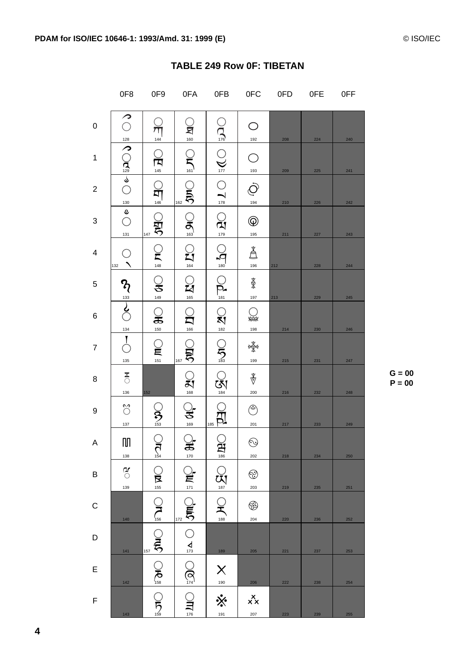|                         | 0F8                             | 0F9                    | 0FA                                     | 0FB                          | 0FC                                 | 0FD | 0FE | 0FF |
|-------------------------|---------------------------------|------------------------|-----------------------------------------|------------------------------|-------------------------------------|-----|-----|-----|
| $\pmb{0}$               | ╭                               | 144                    | <u>্ব</u><br>ৣ                          | $\bigcap_{\frac{1}{16}}$     | 192                                 | 208 | 224 | 240 |
| 1                       | ○ 28 つ(2) つ(2) しこく              | ্র<br>শি<br>.<br>145   | $C_{\overline{5}}$                      | $\sum_{177}$                 | 193                                 | 209 | 225 | 241 |
| $\overline{c}$          |                                 | q<br>146               | 162                                     | $\bigcirc_{\frac{178}{178}}$ | 194                                 | 210 | 226 | 242 |
| 3                       | $\frac{130}{9}$<br>131          | Ă<br>147               | $\frac{1}{25}$ $\frac{1}{25}$           | $\frac{1}{\mathbf{27}}$      | $^\circledR$<br>195                 | 211 | 227 | 243 |
| $\overline{\mathbf{4}}$ | O<br>132                        | $\mathbf{S}$<br>148    | $\sum_{164}$                            | $\bigcap_{180}$              | å<br>196                            | 212 | 228 | 244 |
| 5                       |                                 | ु<br>149               | $\sum_{165}$                            | $\sum_{181}$                 | ₿<br>197                            | 213 | 229 | 245 |
| $\,6$                   | $\sum_{133}$<br>$\frac{134}{2}$ | $\mathbf{S}$<br>150    | $\Omega$<br>166                         | $Q_{\frac{182}{182}}$        | ma<br>198                           | 214 | 230 | 246 |
| $\overline{7}$          | $\mathbf{I}$<br>135             | $\mathbf{r}$<br>$151$  | ă<br>167                                | $\frac{1}{2}$                | भूषे<br>भूष<br>199                  | 215 | 231 | 247 |
| 8                       | $\frac{\mathbf{x}}{0}$<br>136   | 152                    | $\bigcirc_{\frac{168}{168}}$            | $\bigotimes_{184}$           | $\overset{\Phi}{\mathbb{V}}$<br>200 | 216 | 232 | 248 |
| 9                       | ័<br>137                        | $\sum_{153}$           | ₹<br>169                                | 185                          | Ç<br>201                            | 217 | 233 | 249 |
| A                       | $\mathbb{I}$<br>138             | $\frac{1}{2}$          | ़.<br>$\frac{2}{170}$                   | $\prod_{186}$                | $\odot$<br>202                      | 218 | 234 | 250 |
| B                       | $\frac{\sigma}{\sigma}$<br>139  | $Q_{\frac{155}{}}$     | $Q_{\mathbf{E}}$                        | $Q_{\text{NS}}$              | ☺<br>203                            | 219 | 235 | 251 |
| $\mathsf C$             | 140                             |                        | 172                                     | $Q_{\frac{188}{188}}$        | ֎<br>204                            | 220 | 236 | 252 |
| D                       | 141                             | 157                    | $\frac{1}{\sqrt{2}}\sum_{n=1}^{\infty}$ | 189                          | 205                                 | 221 | 237 | 253 |
| E                       | 142                             | <b>DAG</b><br>GREE ORG | $\mathcal{Q}$                           | X<br>$\frac{190}{1}$         | 206                                 | 222 | 238 | 254 |
| F                       | 143                             | $\sum_{159}$           | $\sum_{\text{176}}$                     | $\dot{\times}$<br>191        | $x^{\mathsf{X}}\mathsf{x}$<br>207   | 223 | 239 | 255 |

## **TABLE 249 Row OF: TIBETAN**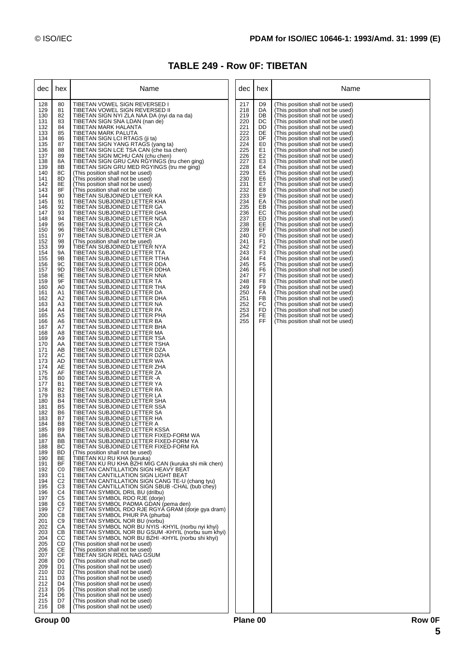## **TABLE 249 - Row 0F: TIBETAN**

| dec                                                                                                                                                                                                                                                                                                                                                                                                                                                                                                                                                                                                                                         | hex                                                                                                                                                                                                                                                                                                                                                                                                                                                                                                                                                                                                                                                                                                                                                                                                                                                                                                                                          | Name                                                                                                                                                                                                                                                                                                                                                                                                                                                                                                                                                                                                                                                                                                                                                                                                                                                                                                                                                                                                                                                                                                                                                                                                                                                                                                                                                                                                                                                                                                                                                                                                                                                                                                                                                                                                                                                                                                                                                                                                                                                                                                                                                                                                                                                                                                                                                                                                                                                                                                                                                                                                                                                                                                                                                                                                                                                                                                                                                                                                                                                                                                                                                                                                                                                                                                      | dec                                                                                                                                                                                                                                                                           | hex                                                                                                                                                                                                                                                                                                                                                                                                                   | Name                                                                                                                                                                                                                                                                                                                                                                                                                                                                                                                                                                                                                                                                                                                                                                                                                                                                                                                                                                                                                                                                                                                                                                                                                                                                                                                                                                                                                                                                                            |
|---------------------------------------------------------------------------------------------------------------------------------------------------------------------------------------------------------------------------------------------------------------------------------------------------------------------------------------------------------------------------------------------------------------------------------------------------------------------------------------------------------------------------------------------------------------------------------------------------------------------------------------------|----------------------------------------------------------------------------------------------------------------------------------------------------------------------------------------------------------------------------------------------------------------------------------------------------------------------------------------------------------------------------------------------------------------------------------------------------------------------------------------------------------------------------------------------------------------------------------------------------------------------------------------------------------------------------------------------------------------------------------------------------------------------------------------------------------------------------------------------------------------------------------------------------------------------------------------------|-----------------------------------------------------------------------------------------------------------------------------------------------------------------------------------------------------------------------------------------------------------------------------------------------------------------------------------------------------------------------------------------------------------------------------------------------------------------------------------------------------------------------------------------------------------------------------------------------------------------------------------------------------------------------------------------------------------------------------------------------------------------------------------------------------------------------------------------------------------------------------------------------------------------------------------------------------------------------------------------------------------------------------------------------------------------------------------------------------------------------------------------------------------------------------------------------------------------------------------------------------------------------------------------------------------------------------------------------------------------------------------------------------------------------------------------------------------------------------------------------------------------------------------------------------------------------------------------------------------------------------------------------------------------------------------------------------------------------------------------------------------------------------------------------------------------------------------------------------------------------------------------------------------------------------------------------------------------------------------------------------------------------------------------------------------------------------------------------------------------------------------------------------------------------------------------------------------------------------------------------------------------------------------------------------------------------------------------------------------------------------------------------------------------------------------------------------------------------------------------------------------------------------------------------------------------------------------------------------------------------------------------------------------------------------------------------------------------------------------------------------------------------------------------------------------------------------------------------------------------------------------------------------------------------------------------------------------------------------------------------------------------------------------------------------------------------------------------------------------------------------------------------------------------------------------------------------------------------------------------------------------------------------------------------------------|-------------------------------------------------------------------------------------------------------------------------------------------------------------------------------------------------------------------------------------------------------------------------------|-----------------------------------------------------------------------------------------------------------------------------------------------------------------------------------------------------------------------------------------------------------------------------------------------------------------------------------------------------------------------------------------------------------------------|-------------------------------------------------------------------------------------------------------------------------------------------------------------------------------------------------------------------------------------------------------------------------------------------------------------------------------------------------------------------------------------------------------------------------------------------------------------------------------------------------------------------------------------------------------------------------------------------------------------------------------------------------------------------------------------------------------------------------------------------------------------------------------------------------------------------------------------------------------------------------------------------------------------------------------------------------------------------------------------------------------------------------------------------------------------------------------------------------------------------------------------------------------------------------------------------------------------------------------------------------------------------------------------------------------------------------------------------------------------------------------------------------------------------------------------------------------------------------------------------------|
| 128<br>129<br>130<br>131<br>132<br>133<br>134<br>135<br>136<br>137<br>138<br>139<br>140<br>141<br>142<br>143<br>144<br>145<br>146<br>147<br>148<br>149<br>150<br>151<br>152<br>153<br>154<br>155<br>156<br>157<br>158<br>159<br>160<br>161<br>162<br>163<br>164<br>165<br>166<br>167<br>168<br>169<br>170<br>171<br>172<br>173<br>174<br>175<br>176<br>177<br>178<br>179<br>180<br>181<br>182<br>183<br>184<br>185<br>186<br>187<br>188<br>189<br>190<br>191<br>192<br>193<br>194<br>195<br>196<br>197<br>198<br>199<br>200<br>201<br>202<br>203<br>204<br>205<br>206<br>207<br>208<br>209<br>210<br>211<br>212<br>213<br>214<br>215<br>216 | 80<br>81<br>82<br>83<br>84<br>85<br>86<br>87<br>88<br>89<br>8A<br>8B<br>8C<br>8D<br>8E<br>8F<br>90<br>91<br>92<br>93<br>94<br>95<br>96<br>97<br>98<br>99<br><b>9A</b><br>9B<br>9C<br>9D<br>9E<br>9F<br>A <sub>0</sub><br>A1<br>A <sub>2</sub><br>A <sub>3</sub><br>A4<br>A <sub>5</sub><br>A6<br>A7<br>A8<br>A <sub>9</sub><br>AA<br>AB<br>AC<br>AD<br>AE<br>AF<br>B <sub>0</sub><br><b>B1</b><br>B <sub>2</sub><br>B <sub>3</sub><br><b>B4</b><br>B <sub>5</sub><br>B <sub>6</sub><br>B7<br>B <sub>8</sub><br>B <sub>9</sub><br><b>BA</b><br>BB<br>BC<br><b>BD</b><br>BE<br>BF<br>C <sub>0</sub><br>C <sub>1</sub><br>C <sub>2</sub><br>C <sub>3</sub><br>C <sub>4</sub><br>C <sub>5</sub><br>C <sub>6</sub><br>C7<br>C8<br>C <sub>9</sub><br>CA<br>CВ<br>CС<br>CD<br>CE<br><b>CF</b><br>D <sub>0</sub><br>D <sub>1</sub><br>D <sub>2</sub><br>D <sub>3</sub><br>D <sub>4</sub><br>D <sub>5</sub><br>D <sub>6</sub><br>D7<br>D <sub>8</sub> | TIBETAN VOWEL SIGN REVERSED I<br>TIBETAN VOWEL SIGN REVERSED II<br>TIBETAN SIGN NYI ZLA NAA DA (nyi da na da)<br>TIBETAN SIGN SNA LDAN (nan de)<br>TIBETAN MARK HALANTA<br>TIBETAN MARK PALUTA<br>TIBETAN SIGN LCI RTAGS (ji ta)<br>TIBETAN SIGN YANG RTAGS (yang ta)<br>TIBETAN SIGN LCE TSA CAN (che tsa chen)<br>TIBETAN SIGN MCHU CAN (chu chen)<br>TIBETAN SIGN GRU CAN RGYINGS (tru chen ging)<br>TIBETAN SIGN GRU MED RGYINGS (tru me ging)<br>(This position shall not be used)<br>(This position shall not be used)<br>(This position shall not be used)<br>(This position shall not be used)<br>TIBETAN SUBJOINED LETTER KA<br>TIBETAN SUBJOINED LETTER KHA<br>TIBETAN SUBJOINED LETTER GA<br>TIBETAN SUBJOINED LETTER GHA<br>TIBETAN SUBJOINED LETTER NGA<br>TIBETAN SUBJOINED LETTER CA<br>TIBETAN SUBJOINED LETTER CHA<br>TIBETAN SUBJOINED LETTER JA<br>(This position shall not be used)<br>TIBETAN SUBJOINED LETTER NYA<br>TIBETAN SUBJOINED LETTER TTA<br>TIBETAN SUBJOINED LETTER TTHA<br>TIBETAN SUBJOINED LETTER DDA<br>TIBETAN SUBJOINED LETTER DDHA<br>TIBETAN SUBJOINED LETTER NNA<br>TIBETAN SUBJOINED LETTER TA<br>TIBETAN SUBJOINED LETTER THA<br>TIBETAN SUBJOINED LETTER DA<br>TIBETAN SUBJOINED LETTER DHA<br>TIBETAN SUBJOINED LETTER NA<br>TIBETAN SUBJOINED LETTER PA<br>TIBETAN SUBJOINED LETTER PHA<br>TIBETAN SUBJOINED LETTER BA<br>TIBETAN SUBJOINED LETTER BHA<br>TIBETAN SUBJOINED LETTER MA<br>TIBETAN SUBJOINED LETTER TSA<br>TIBETAN SUBJOINED LETTER TSHA<br>TIBETAN SUBJOINED LETTER DZA<br>TIBETAN SUBJOINED LETTER DZHA<br>TIBETAN SUBJOINED LETTER WA<br>TIBETAN SUBJOINED LETTER ZHA<br>TIBETAN SUBJOINED LETTER ZA<br>TIBETAN SUBJOINED LETTER -A<br>TIBETAN SUBJOINED LETTER YA<br>TIBETAN SUBJOINED LETTER RA<br>TIBETAN SUBJOINED LETTER LA<br>TIBETAN SUBJOINED LETTER SHA<br>TIBETAN SUBJOINED LETTER SSA<br>TIBETAN SUBJOINED LETTER SA<br>TIBETAN SUBJOINED LETTER HA<br>TIBETAN SUBJOINED LETTER A<br>TIBETAN SUBJOINED LETTER KSSA<br>TIBETAN SUBJOINED LETTER FIXED-FORM WA<br>TIBETAN SUBJOINED LETTER FIXED-FORM YA<br>TIBETAN SUBJOINED LETTER FIXED-FORM RA<br>(This position shall not be used)<br>TIBETAN KU RU KHA (kuruka)<br>TIBETAN KU RU KHA BZHI MIG CAN (kuruka shi mik chen)<br>TIBETAN CANTILLATION SIGN HEAVY BEAT<br>TIBETAN CANTILLATION SIGN LIGHT BEAT<br>TIBETAN CANTILLATION SIGN CANG TE-U (chang tyu)<br>TIBETAN CANTILLATION SIGN SBUB - CHAL (bub chey)<br>TIBETAN SYMBOL DRIL BU (drilbu)<br>TIBETAN SYMBOL RDO RJE (dorie)<br>TIBETAN SYMBOL PADMA GDAN (pema den)<br>TIBETAN SYMBOL RDO RJE RGYA GRAM (dorje gya dram)<br>TIBETAN SYMBOL PHUR PA (phurba)<br>TIBETAN SYMBOL NOR BU (norbu)<br>TIBETAN SYMBOL NOR BU NYIS -KHYIL (norbu nyi khyi)<br>TIBETAN SYMBOL NOR BU GSUM -KHYIL (norbu sum khyi)<br>TIBETAN SYMBOL NOR BU BZHI -KHYIL (norbu shi khyi)<br>(This position shall not be used)<br>(This position shall not be used)<br>TIBETAN SIGN RDEL NAG GSUM<br>(This position shall not be used)<br>(This position shall not be used)<br>(This position shall not be used)<br>(This position shall not be used)<br>(This position shall not be used)<br>(This position shall not be used)<br>(This position shall not be used)<br>(This position shall not be used)<br>(This position shall not be used) | 217<br>218<br>219<br>220<br>221<br>222<br>223<br>224<br>225<br>226<br>227<br>228<br>229<br>230<br>231<br>232<br>233<br>234<br>235<br>236<br>237<br>238<br>239<br>240<br>241<br>242<br>243<br>244<br>245<br>246<br>247<br>248<br>249<br>250<br>251<br>252<br>253<br>254<br>255 | D <sub>9</sub><br>DA<br>DB<br>DC<br>DD<br>DE<br>DF<br>E0<br>E1<br>E <sub>2</sub><br>E <sub>3</sub><br>E4<br>E <sub>5</sub><br>E <sub>6</sub><br>E7<br>E8<br>E9<br>EA<br>EB<br>EC<br>ED<br>EE<br>EF<br>F <sub>0</sub><br>F <sub>1</sub><br>F <sub>2</sub><br>F <sub>3</sub><br>F <sub>4</sub><br>F <sub>5</sub><br>F <sub>6</sub><br>F7<br>F <sub>8</sub><br>F <sub>9</sub><br>FA<br>FB<br><b>FC</b><br>FD<br>FE<br>FF | (This position shall not be used)<br>(This position shall not be used)<br>(This position shall not be used)<br>(This position shall not be used)<br>(This position shall not be used)<br>(This position shall not be used)<br>(This position shall not be used)<br>(This position shall not be used)<br>(This position shall not be used)<br>(This position shall not be used)<br>(This position shall not be used)<br>(This position shall not be used)<br>(This position shall not be used)<br>(This position shall not be used)<br>(This position shall not be used)<br>(This position shall not be used)<br>(This position shall not be used)<br>(This position shall not be used)<br>(This position shall not be used)<br>(This position shall not be used)<br>(This position shall not be used)<br>(This position shall not be used)<br>(This position shall not be used)<br>(This position shall not be used)<br>(This position shall not be used)<br>(This position shall not be used)<br>(This position shall not be used)<br>(This position shall not be used)<br>(This position shall not be used)<br>(This position shall not be used)<br>(This position shall not be used)<br>(This position shall not be used)<br>(This position shall not be used)<br>(This position shall not be used)<br>(This position shall not be used)<br>(This position shall not be used)<br>(This position shall not be used)<br>(This position shall not be used)<br>(This position shall not be used) |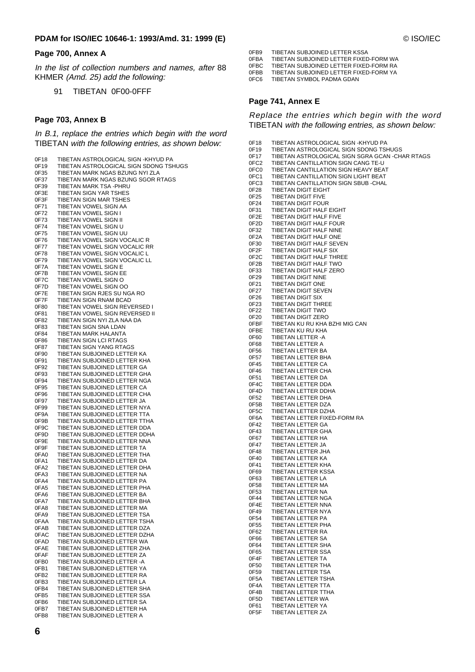#### **Page 700, Annex A**

In the list of collection numbers and names, after 88 KHMER (Amd. 25) add the following:

91 TIBETAN 0F00-0FFF

#### **Page 703, Annex B**

In B.1, replace the entries which begin with the word TIBETAN with the following entries, as shown below:

| 0F18             | TIBETAN ASTROLOGICAL SIGN -KHYUD PA    |
|------------------|----------------------------------------|
|                  |                                        |
| 0F19             | TIBETAN ASTROLOGICAL SIGN SDONG TSHUGS |
| 0F35             | TIBETAN MARK NGAS BZUNG NYI ZLA        |
| 0F37             | TIBETAN MARK NGAS BZUNG SGOR RTAGS     |
| 0F39             | TIBETAN MARK TSA - PHRU                |
| 0F3E             | <b>TIBETAN SIGN YAR TSHES</b>          |
| 0F3F             | TIBETAN SIGN MAR TSHES                 |
| 0F71             | TIBETAN VOWEL SIGN AA                  |
|                  |                                        |
| 0F72             | TIBETAN VOWEL SIGN I                   |
| 0F73             | TIBETAN VOWEL SIGN II                  |
| 0F74             | TIBETAN VOWEL SIGN U                   |
| 0F75             | TIBETAN VOWEL SIGN UU                  |
| 0F76             | TIBETAN VOWEL SIGN VOCALIC R           |
| 0F77             | TIBETAN VOWEL SIGN VOCALIC RR          |
| 0F78             | TIBETAN VOWEL SIGN VOCALIC L           |
| 0F79             | TIBETAN VOWEL SIGN VOCALIC LL          |
| 0F7A             | TIBETAN VOWEL SIGN E                   |
| 0F7B             | TIBETAN VOWEL SIGN EE                  |
| 0F7C             | TIBETAN VOWEL SIGN O                   |
| 0F7D             | TIBETAN VOWEL SIGN OO                  |
|                  |                                        |
| 0F7E             | TIBETAN SIGN RJES SU NGA RO            |
| 0F7F             | TIBETAN SIGN RNAM BCAD                 |
| 0F80             | TIBETAN VOWEL SIGN REVERSED I          |
| 0F81             | TIBETAN VOWEL SIGN REVERSED II         |
| 0F82             | TIBETAN SIGN NYI ZLA NAA DA            |
| 0F83             | TIBETAN SIGN SNA LDAN                  |
| 0F84             | TIBETAN MARK HALANTA                   |
| 0F86             | TIBETAN SIGN LCI RTAGS                 |
| 0F87             | TIBETAN SIGN YANG RTAGS                |
| 0F90             | TIBETAN SUBJOINED LETTER KA            |
| 0F91             | TIBETAN SUBJOINED LETTER KHA           |
| 0F92             | TIBETAN SUBJOINED LETTER GA            |
| 0F93             |                                        |
|                  | TIBETAN SUBJOINED LETTER GHA           |
| 0F94             | TIBETAN SUBJOINED LETTER NGA           |
| 0F95             | TIBETAN SUBJOINED LETTER CA            |
| 0F96             | TIBETAN SUBJOINED LETTER CHA           |
| 0F97             | TIBETAN SUBJOINED LETTER JA            |
| 0F99             | TIBETAN SUBJOINED LETTER NYA           |
| 0F9A             | TIBETAN SUBJOINED LETTER TTA           |
| 0F9B             | TIBETAN SUBJOINED LETTER TTHA          |
| 0F9C             | TIBETAN SUBJOINED LETTER DDA           |
| 0F9D             | TIBETAN SUBJOINED LETTER DDHA          |
| 0F9E             | TIBETAN SUBJOINED LETTER NNA           |
| 0F9F             | TIBETAN SUBJOINED LETTER TA            |
| 0FA0             | TIBETAN SUBJOINED LETTER THA           |
| 0FA1             | TIBETAN SUBJOINED LETTER DA            |
| 0FA2             | TIBETAN SUBJOINED LETTER DHA           |
|                  | TIBETAN SUBJOINED LETTER NA            |
| 0FA3             |                                        |
| 0FA4             | TIBETAN SUBJOINED LETTER PA            |
| 0FA5             | TIBETAN SUBJOINED LETTER PHA           |
| 0FA6             | TIBETAN SUBJOINED LETTER BA            |
| 0FA7             | TIBETAN SUBJOINED LETTER BHA           |
| 0FA8             | TIBETAN SUBJOINED LETTER MA            |
| 0FA9             | TIBETAN SUBJOINED LETTER TSA           |
| 0FAA             | TIBETAN SUBJOINED LETTER TSHA          |
| 0FAB             | TIBETAN SUBJOINED LETTER DZA           |
| 0FAC             | TIBETAN SUBJOINED LETTER DZHA          |
| 0FAD             | TIBETAN SUBJOINED LETTER WA            |
| 0FAE             | TIBETAN SUBJOINED LETTER ZHA           |
| 0FAF             | TIBETAN SUBJOINED LETTER ZA            |
| 0FB <sub>0</sub> | TIBETAN SUBJOINED LETTER -A            |
| 0FB1             | TIBETAN SUBJOINED LETTER YA            |
|                  | TIBETAN SUBJOINED LETTER RA            |
| 0FB2             |                                        |
| 0FB3             | TIBETAN SUBJOINED LETTER LA            |
| 0FB4             | TIBETAN SUBJOINED LETTER SHA           |
| 0FB5             | TIBETAN SUBJOINED LETTER SSA           |
| 0FB6             | TIBETAN SUBJOINED LETTER SA            |
| 0FB7             | TIBETAN SUBJOINED LETTER HA            |
| 0FB8             | TIBETAN SUBJOINED LETTER A             |

- 0FBA TIBETAN SUBJOINED LETTER FIXED-FORM WA<br>0FBC TIBETAN SUBJOINED LETTER FIXED-FORM RA
- OFBC TIBETAN SUBJOINED LETTER FIXED-FORM RA<br>OFBB TIBETAN SUBJOINED LETTER FIXED-FORM YA
- 0FBB TIBETAN SUBJOINED LETTER FIXED-FORM YA<br>0FC6 TIBETAN SYMBOL PADMA GDAN TIBETAN SYMBOL PADMA GDAN

#### **Page 741, Annex E**

Replace the entries which begin with the word TIBETAN with the following entries, as shown below:

| 0F18              | TIBETAN ASTROLOGICAL SIGN -KHYUD PA                   |
|-------------------|-------------------------------------------------------|
| 0F19              | TIBETAN ASTROLOGICAL SIGN SDONG TSHUGS                |
| 0F17              | TIBETAN ASTROLOGICAL SIGN SGRA GCAN -CHAR RTAGS       |
| 0FC <sub>2</sub>  | TIBETAN CANTILLATION SIGN CANG TE-U                   |
| 0FC0              | TIBETAN CANTILLATION SIGN HEAVY BEAT                  |
| 0FC1              | TIBETAN CANTILLATION SIGN LIGHT BEAT                  |
| 0FC3              | TIBETAN CANTILLATION SIGN SBUB -CHAL                  |
| 0F28              | TIBETAN DIGIT EIGHT                                   |
| 0F25              | <b>TIBETAN DIGIT FIVE</b>                             |
| 0F24<br>0F31      | <b>TIBETAN DIGIT FOUR</b><br>TIBETAN DIGIT HALF EIGHT |
| 0F2E              | TIBETAN DIGIT HALF FIVE                               |
| 0F2D              | TIBETAN DIGIT HALF FOUR                               |
| 0F32              | TIBETAN DIGIT HALF NINE                               |
| 0F <sub>2</sub> A | TIBETAN DIGIT HALF ONE                                |
| 0F30              | TIBETAN DIGIT HALF SEVEN                              |
| 0F2F              | TIBETAN DIGIT HALF SIX                                |
| 0F <sub>2</sub> C | TIBETAN DIGIT HALF THREE                              |
| 0F2B              | TIBETAN DIGIT HALF TWO                                |
| 0F33              | TIBETAN DIGIT HALF ZERO                               |
| 0F29              | <b>TIBETAN DIGIT NINE</b>                             |
| 0F21              | TIBETAN DIGIT ONE                                     |
| 0F27              | TIBETAN DIGIT SEVEN                                   |
| 0F26              | <b>TIBETAN DIGIT SIX</b>                              |
| 0F23              | <b>TIBETAN DIGIT THREE</b>                            |
| 0F22              | TIBETAN DIGIT TWO                                     |
| 0F20<br>0FBF      | <b>TIBETAN DIGIT ZERO</b>                             |
| 0FBE              | TIBETAN KU RU KHA BZHI MIG CAN<br>TIBETAN KU RU KHA   |
| 0F60              | TIBETAN LETTER -A                                     |
| 0F68              | TIBETAN LETTER A                                      |
| 0F56              | TIBETAN LETTER BA                                     |
| 0F57              | TIBETAN LETTER BHA                                    |
| 0F45              | <b>TIBETAN LETTER CA</b>                              |
| 0F46              | TIBETAN LETTER CHA                                    |
| 0F51              | TIBETAN LETTER DA                                     |
| 0F4C              | TIBETAN LETTER DDA                                    |
| 0F4D              | TIBETAN LETTER DDHA                                   |
| 0F52              | TIBETAN LETTER DHA                                    |
| 0F5B              | TIBETAN LETTER DZA                                    |
| 0F5C              | TIBETAN LETTER DZHA                                   |
| 0F6A              | TIBETAN LETTER FIXED-FORM RA                          |
| 0F42              | TIBETAN LETTER GA                                     |
| 0F43              | TIBETAN LETTER GHA                                    |
| 0F67<br>0F47      | TIBETAN LETTER HA<br>TIBETAN LETTER JA                |
| 0F48              | TIBETAN LETTER JHA                                    |
| 0F40              | TIBETAN LETTER KA                                     |
| 0F41              | TIBETAN LETTER KHA                                    |
| 0F69              | TIBETAN LETTER KSSA                                   |
| 0F63              | TIBETAN LETTER LA                                     |
| 0F58              | TIBETAN LETTER MA                                     |
| 0F53              | TIBETAN LETTER NA                                     |
| 0F44              | TIBETAN LETTER NGA                                    |
| 0F4E              | TIBETAN LETTER NNA                                    |
| 0F49              | TIBETAN LETTER NYA                                    |
| 0F54              | TIBETAN LETTER PA                                     |
| 0F55              | TIBETAN LETTER PHA                                    |
| 0F62              | TIBETAN LETTER RA                                     |
| 0F66              | TIBETAN LETTER SA                                     |
| 0F64<br>0F65      | TIBETAN LETTER SHA<br>TIBETAN LETTER SSA              |
| 0F4F              | TIBETAN LETTER TA                                     |
| 0F50              | TIBETAN LETTER THA                                    |
| 0F59              | TIBETAN LETTER TSA                                    |
| 0F5A              | TIBETAN LETTER TSHA                                   |
| 0F4A              | TIBETAN LETTER TTA                                    |
| 0F4B              | TIBETAN LETTER TTHA                                   |
| 0F5D              | TIBETAN LETTER WA                                     |
| 0F61              | TIBETAN LETTER YA                                     |
| 0F5F              | TIBETAN LETTER ZA                                     |